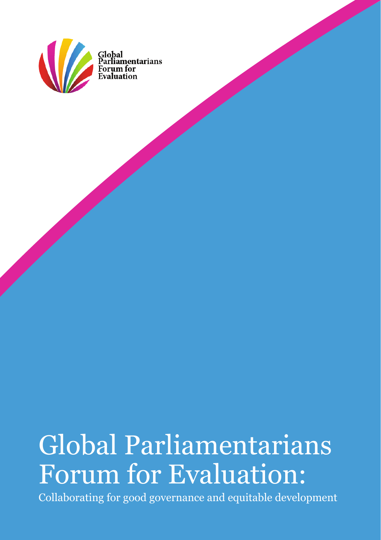

Global<br>Parliamentarians

# Global Parliamentarians Forum for Evaluation:

Collaborating for good governance and equitable development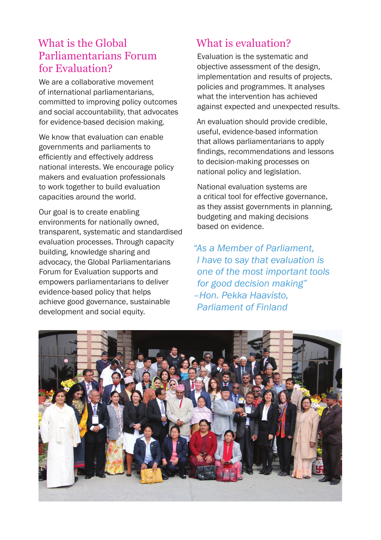#### What is the Global Parliamentarians Forum for Evaluation?

We are a collaborative movement of international parliamentarians, committed to improving policy outcomes and social accountability, that advocates for evidence-based decision making.

We know that evaluation can enable governments and parliaments to efficiently and effectively address national interests. We encourage policy makers and evaluation professionals to work together to build evaluation capacities around the world.

Our goal is to create enabling environments for nationally owned, transparent, systematic and standardised evaluation processes. Through capacity building, knowledge sharing and advocacy, the Global Parliamentarians Forum for Evaluation supports and empowers parliamentarians to deliver evidence-based policy that helps achieve good governance, sustainable development and social equity.

### What is evaluation?

Evaluation is the systematic and objective assessment of the design, implementation and results of projects, policies and programmes. It analyses what the intervention has achieved against expected and unexpected results.

An evaluation should provide credible, useful, evidence-based information that allows parliamentarians to apply findings, recommendations and lessons to decision-making processes on national policy and legislation.

National evaluation systems are a critical tool for effective governance, as they assist governments in planning, budgeting and making decisions based on evidence.

*"As a Member of Parliament, I have to say that evaluation is one of the most important tools for good decision making" –Hon. Pekka Haavisto, Parliament of Finland*

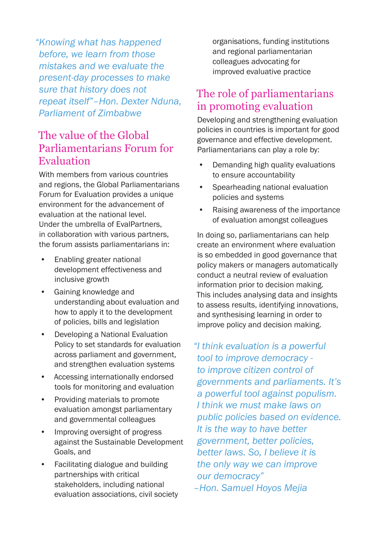*"Knowing what has happened before, we learn from those mistakes and we evaluate the present-day processes to make sure that history does not repeat itself"–Hon. Dexter Nduna, Parliament of Zimbabwe* 

#### The value of the Global Parliamentarians Forum for Evaluation

With members from various countries and regions, the Global Parliamentarians Forum for Evaluation provides a unique environment for the advancement of evaluation at the national level. Under the umbrella of EvalPartners, in collaboration with various partners, the forum assists parliamentarians in:

- Enabling greater national development effectiveness and inclusive growth
- Gaining knowledge and understanding about evaluation and how to apply it to the development of policies, bills and legislation
- Developing a National Evaluation Policy to set standards for evaluation across parliament and government, and strengthen evaluation systems
- Accessing internationally endorsed tools for monitoring and evaluation
- Providing materials to promote evaluation amongst parliamentary and governmental colleagues
- Improving oversight of progress against the Sustainable Development Goals, and
- Facilitating dialogue and building partnerships with critical stakeholders, including national evaluation associations, civil society

organisations, funding institutions and regional parliamentarian colleagues advocating for improved evaluative practice

#### The role of parliamentarians in promoting evaluation

Developing and strengthening evaluation policies in countries is important for good governance and effective development. Parliamentarians can play a role by:

- Demanding high quality evaluations to ensure accountability
- Spearheading national evaluation policies and systems
- Raising awareness of the importance of evaluation amongst colleagues

In doing so, parliamentarians can help create an environment where evaluation is so embedded in good governance that policy makers or managers automatically conduct a neutral review of evaluation information prior to decision making. This includes analysing data and insights to assess results, identifying innovations, and synthesising learning in order to improve policy and decision making.

*"I think evaluation is a powerful tool to improve democracy to improve citizen control of governments and parliaments. It's a powerful tool against populism. I think we must make laws on public policies based on evidence. It is the way to have better government, better policies, better laws. So, I believe it is the only way we can improve our democracy" –Hon. Samuel Hoyos Mejia*